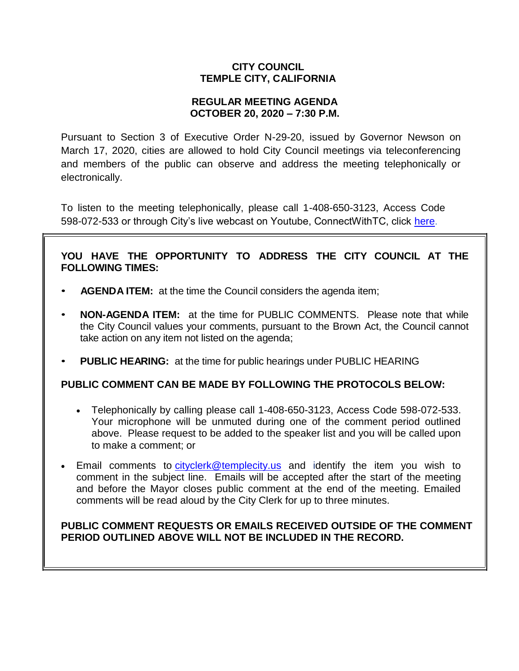# **CITY COUNCIL TEMPLE CITY, CALIFORNIA**

## **REGULAR MEETING AGENDA OCTOBER 20, 2020 – 7:30 P.M.**

Pursuant to Section 3 of Executive Order N-29-20, issued by Governor Newson on March 17, 2020, cities are allowed to hold City Council meetings via teleconferencing and members of the public can observe and address the meeting telephonically or electronically.

To listen to the meeting telephonically, please call 1-408-650-3123, Access Code 598-072-533 or through City's live webcast on Youtube, ConnectWithTC, click [here.](https://www.ci.temple-city.ca.us/516/Meeting-Webcast)

# **YOU HAVE THE OPPORTUNITY TO ADDRESS THE CITY COUNCIL AT THE FOLLOWING TIMES:**

- **AGENDA ITEM:** at the time the Council considers the agenda item;
- **NON-AGENDA ITEM:** at the time for PUBLIC COMMENTS. Please note that while the City Council values your comments, pursuant to the Brown Act, the Council cannot take action on any item not listed on the agenda;
- **PUBLIC HEARING:** at the time for public hearings under PUBLIC HEARING

## **PUBLIC COMMENT CAN BE MADE BY FOLLOWING THE PROTOCOLS BELOW:**

- Telephonically by calling please call 1-408-650-3123, Access Code 598-072-533. Your microphone will be unmuted during one of the comment period outlined above. Please request to be added to the speaker list and you will be called upon to make a comment; or
- Email comments to [cityclerk@templecity.us](mailto:cityclerk@templecity.us) and identify the item you wish to comment in the subject line. Emails will be accepted after the start of the meeting and before the Mayor closes public comment at the end of the meeting. Emailed comments will be read aloud by the City Clerk for up to three minutes.

# **PUBLIC COMMENT REQUESTS OR EMAILS RECEIVED OUTSIDE OF THE COMMENT PERIOD OUTLINED ABOVE WILL NOT BE INCLUDED IN THE RECORD.**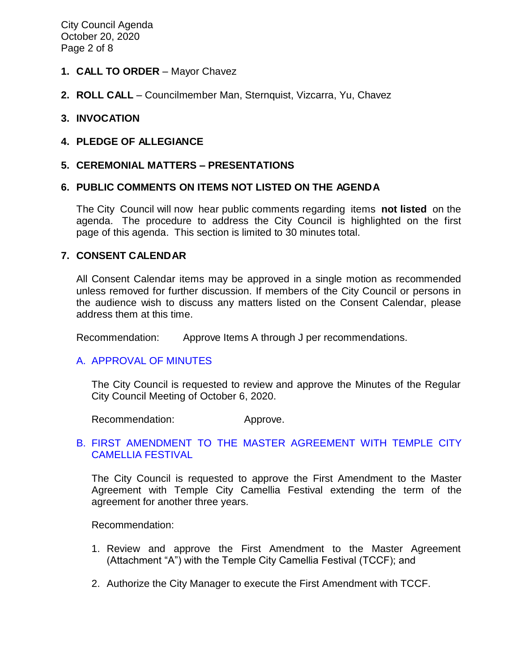City Council Agenda October 20, 2020 Page 2 of 8

#### **1. CALL TO ORDER** – Mayor Chavez

**2. ROLL CALL** – Councilmember Man, Sternquist, Vizcarra, Yu, Chavez

## **3. INVOCATION**

#### **4. PLEDGE OF ALLEGIANCE**

#### **5. CEREMONIAL MATTERS – PRESENTATIONS**

#### **6. PUBLIC COMMENTS ON ITEMS NOT LISTED ON THE AGENDA**

The City Council will now hear public comments regarding items **not listed** on the agenda. The procedure to address the City Council is highlighted on the first page of this agenda. This section is limited to 30 minutes total.

#### **7. CONSENT CALENDAR**

All Consent Calendar items may be approved in a single motion as recommended unless removed for further discussion. If members of the City Council or persons in the audience wish to discuss any matters listed on the Consent Calendar, please address them at this time.

Recommendation: Approve Items A through J per recommendations.

#### A. [APPROVAL](https://ca-templecity.civicplus.com/DocumentCenter/View/15210/03-7A_CCM---2020-10-06-Regular) OF MINUTES

The City Council is requested to review and approve the Minutes of the Regular City Council Meeting of October 6, 2020.

Recommendation: Approve.

## B. [FIRST AMENDMENT TO THE MASTER AGREEMENT WITH TEMPLE CITY](https://ca-templecity.civicplus.com/DocumentCenter/View/15211/04-7B_Camellia-Festival-Master-Agreement-First-Amendment_2020-10-20_Staff-Report---Final)  [CAMELLIA FESTIVAL](https://ca-templecity.civicplus.com/DocumentCenter/View/15211/04-7B_Camellia-Festival-Master-Agreement-First-Amendment_2020-10-20_Staff-Report---Final)

The City Council is requested to approve the First Amendment to the Master Agreement with Temple City Camellia Festival extending the term of the agreement for another three years.

Recommendation:

- 1. Review and approve the First Amendment to the Master Agreement (Attachment "A") with the Temple City Camellia Festival (TCCF); and
- 2. Authorize the City Manager to execute the First Amendment with TCCF.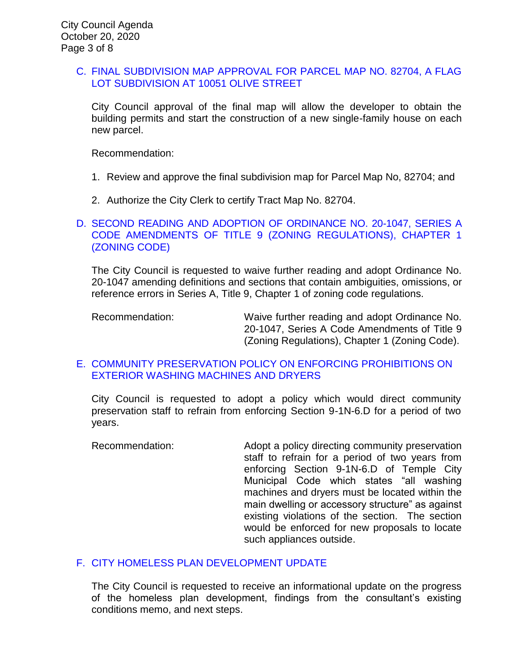#### C. [FINAL SUBDIVISION MAP APPROVAL FOR PARCEL MAP NO. 82704, A FLAG](https://ca-templecity.civicplus.com/DocumentCenter/View/15227/05-7C_Final-Map-Approval_PL-19-1850-Final-Map-10051-Olive-St-flag-lot_w-attachment)  [LOT SUBDIVISION AT 10051 OLIVE STREET](https://ca-templecity.civicplus.com/DocumentCenter/View/15227/05-7C_Final-Map-Approval_PL-19-1850-Final-Map-10051-Olive-St-flag-lot_w-attachment)

City Council approval of the final map will allow the developer to obtain the building permits and start the construction of a new single-family house on each new parcel.

Recommendation:

- 1. Review and approve the final subdivision map for Parcel Map No, 82704; and
- 2. Authorize the City Clerk to certify Tract Map No. 82704.

## D. [SECOND READING AND ADOPTION OF ORDINANCE NO. 20-1047, SERIES A](https://ca-templecity.civicplus.com/DocumentCenter/View/15201/06-7D_Series-A-Ordinance_Staff-Report_2nd-Reading-sr-edits_final)  [CODE AMENDMENTS OF TITLE 9 \(ZONING REGULATIONS\), CHAPTER 1](https://ca-templecity.civicplus.com/DocumentCenter/View/15201/06-7D_Series-A-Ordinance_Staff-Report_2nd-Reading-sr-edits_final)  [\(ZONING CODE\)](https://ca-templecity.civicplus.com/DocumentCenter/View/15201/06-7D_Series-A-Ordinance_Staff-Report_2nd-Reading-sr-edits_final)

The City Council is requested to waive further reading and adopt Ordinance No. 20-1047 amending definitions and sections that contain ambiguities, omissions, or reference errors in Series A, Title 9, Chapter 1 of zoning code regulations.

Recommendation: Waive further reading and adopt Ordinance No. 20-1047, Series A Code Amendments of Title 9 (Zoning Regulations), Chapter 1 (Zoning Code).

## E. [COMMUNITY PRESERVATION POLICY ON ENFORCING PROHIBITIONS ON](https://ca-templecity.civicplus.com/DocumentCenter/View/15202/07-7E_Code-Compliance-for-washing-machine-and-dryer_)  [EXTERIOR WASHING MACHINES AND DRYERS](https://ca-templecity.civicplus.com/DocumentCenter/View/15202/07-7E_Code-Compliance-for-washing-machine-and-dryer_)

City Council is requested to adopt a policy which would direct community preservation staff to refrain from enforcing Section 9-1N-6.D for a period of two years.

Recommendation: Adopt a policy directing community preservation staff to refrain for a period of two years from enforcing Section 9-1N-6.D of Temple City Municipal Code which states "all washing machines and dryers must be located within the main dwelling or accessory structure" as against existing violations of the section. The section would be enforced for new proposals to locate such appliances outside.

## F. [CITY HOMELESS PLAN DEVELOPMENT UPDATE](https://ca-templecity.civicplus.com/DocumentCenter/View/15203/08-7F_City-Based-Homelss-Plan_final_Staff-Report_final-with-attachments)

The City Council is requested to receive an informational update on the progress of the homeless plan development, findings from the consultant's existing conditions memo, and next steps.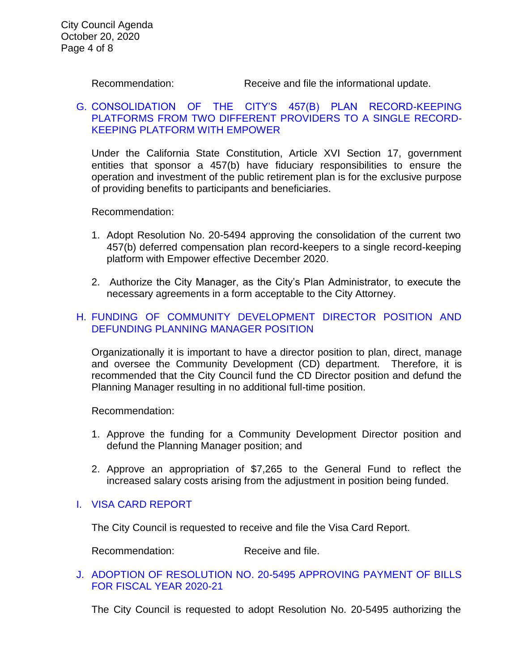Recommendation: Receive and file the informational update.

## G. [CONSOLIDATION OF THE CITY'S 457\(B\) PLAN RECORD-KEEPING](https://ca-templecity.civicplus.com/DocumentCenter/View/15204/09-7G_457b-Deferred-Compensation_Staff-Report_final-with-attachments)  [PLATFORMS FROM TWO DIFFERENT PROVIDERS TO A SINGLE RECORD-](https://ca-templecity.civicplus.com/DocumentCenter/View/15204/09-7G_457b-Deferred-Compensation_Staff-Report_final-with-attachments)[KEEPING PLATFORM WITH EMPOWER](https://ca-templecity.civicplus.com/DocumentCenter/View/15204/09-7G_457b-Deferred-Compensation_Staff-Report_final-with-attachments)

Under the California State Constitution, Article XVI Section 17, government entities that sponsor a 457(b) have fiduciary responsibilities to ensure the operation and investment of the public retirement plan is for the exclusive purpose of providing benefits to participants and beneficiaries.

Recommendation:

- 1. Adopt Resolution No. 20-5494 approving the consolidation of the current two 457(b) deferred compensation plan record-keepers to a single record-keeping platform with Empower effective December 2020.
- 2. Authorize the City Manager, as the City's Plan Administrator, to execute the necessary agreements in a form acceptable to the City Attorney.

# H. [FUNDING OF COMMUNITY DEVELOPMENT DIRECTOR POSITION AND](https://ca-templecity.civicplus.com/DocumentCenter/View/15205/10-7H_Staff-Report-CD-Director)  [DEFUNDING PLANNING MANAGER POSITION](https://ca-templecity.civicplus.com/DocumentCenter/View/15205/10-7H_Staff-Report-CD-Director)

Organizationally it is important to have a director position to plan, direct, manage and oversee the Community Development (CD) department. Therefore, it is recommended that the City Council fund the CD Director position and defund the Planning Manager resulting in no additional full-time position.

Recommendation:

- 1. Approve the funding for a Community Development Director position and defund the Planning Manager position; and
- 2. Approve an appropriation of \$7,265 to the General Fund to reflect the increased salary costs arising from the adjustment in position being funded.

## I. [VISA CARD REPORT](https://ca-templecity.civicplus.com/DocumentCenter/View/15206/11-7I_Visa-Card-Report_Staff-Report-w-attachments)

The City Council is requested to receive and file the Visa Card Report.

Recommendation: Receive and file.

#### J. [ADOPTION OF RESOLUTION NO. 20-5495](https://ca-templecity.civicplus.com/DocumentCenter/View/15206/11-7I_Visa-Card-Report_Staff-Report-w-attachments) APPROVING PAYMENT OF BILLS [FOR FISCAL YEAR 2020-21](https://ca-templecity.civicplus.com/DocumentCenter/View/15206/11-7I_Visa-Card-Report_Staff-Report-w-attachments)

The City Council is requested to adopt Resolution No. 20-5495 authorizing the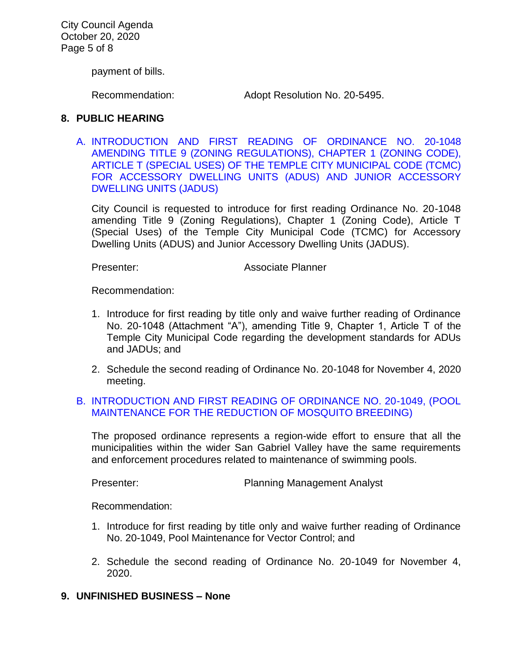City Council Agenda October 20, 2020 Page 5 of 8

payment of bills.

Recommendation: Adopt Resolution No. 20-5495.

## **8. PUBLIC HEARING**

A. [INTRODUCTION AND FIRST READING OF ORDINANCE NO. 20-1048](https://ca-templecity.civicplus.com/DocumentCenter/View/15207/12-8A_ADU-and-JADU_Staff-Report_final-with-attachments)  [AMENDING TITLE 9 \(ZONING REGULATIONS\), CHAPTER 1 \(ZONING CODE\),](https://ca-templecity.civicplus.com/DocumentCenter/View/15207/12-8A_ADU-and-JADU_Staff-Report_final-with-attachments)  [ARTICLE T \(SPECIAL USES\) OF THE TEMPLE CITY MUNICIPAL CODE \(TCMC\)](https://ca-templecity.civicplus.com/DocumentCenter/View/15207/12-8A_ADU-and-JADU_Staff-Report_final-with-attachments)  [FOR ACCESSORY DWELLING UNITS \(ADUS\) AND JUNIOR ACCESSORY](https://ca-templecity.civicplus.com/DocumentCenter/View/15207/12-8A_ADU-and-JADU_Staff-Report_final-with-attachments)  [DWELLING UNITS \(JADUS\)](https://ca-templecity.civicplus.com/DocumentCenter/View/15207/12-8A_ADU-and-JADU_Staff-Report_final-with-attachments)

City Council is requested to introduce for first reading Ordinance No. 20-1048 amending Title 9 (Zoning Regulations), Chapter 1 (Zoning Code), Article T (Special Uses) of the Temple City Municipal Code (TCMC) for Accessory Dwelling Units (ADUS) and Junior Accessory Dwelling Units (JADUS).

Presenter: Associate Planner

Recommendation:

- 1. Introduce for first reading by title only and waive further reading of Ordinance No. 20-1048 (Attachment "A"), amending Title 9, Chapter 1, Article T of the Temple City Municipal Code regarding the development standards for ADUs and JADUs; and
- 2. Schedule the second reading of Ordinance No. 20-1048 for November 4, 2020 meeting.

#### B. [INTRODUCTION AND FIRST READING OF ORDINANCE NO. 20-1049, \(POOL](https://ca-templecity.civicplus.com/DocumentCenter/View/15208/13-8B_Ordinance-20-1049-Pool-Maintenance-for-the-Reduction-of-Mosquito-Breeding_Staff-Report_final-with-attachment)  [MAINTENANCE FOR THE REDUCTION OF MOSQUITO BREEDING\)](https://ca-templecity.civicplus.com/DocumentCenter/View/15208/13-8B_Ordinance-20-1049-Pool-Maintenance-for-the-Reduction-of-Mosquito-Breeding_Staff-Report_final-with-attachment)

The proposed ordinance represents a region-wide effort to ensure that all the municipalities within the wider San Gabriel Valley have the same requirements and enforcement procedures related to maintenance of swimming pools.

Presenter: Presenter: Planning Management Analyst

Recommendation:

- 1. Introduce for first reading by title only and waive further reading of Ordinance No. 20-1049, Pool Maintenance for Vector Control; and
- 2. Schedule the second reading of Ordinance No. 20-1049 for November 4, 2020.
- **9. UNFINISHED BUSINESS – None**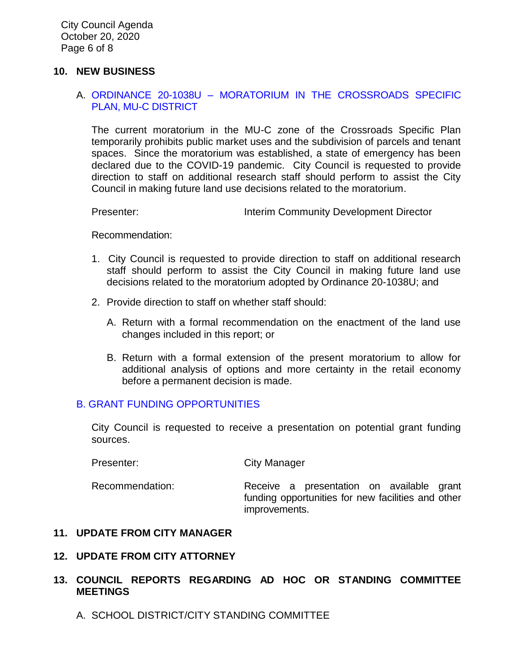#### **10. NEW BUSINESS**

## A. ORDINANCE 20-1038U – [MORATORIUM IN THE CROSSROADS SPECIFIC](https://ca-templecity.civicplus.com/DocumentCenter/View/15209/14-10A_Ordinance-20-1038U-Moratorium-in-the-Crossroads-Specific-Plan_Staff-Report_final-Greg-review) [PLAN, MU-C DISTRICT](https://ca-templecity.civicplus.com/DocumentCenter/View/15209/14-10A_Ordinance-20-1038U-Moratorium-in-the-Crossroads-Specific-Plan_Staff-Report_final-Greg-review)

The current moratorium in the MU-C zone of the Crossroads Specific Plan temporarily prohibits public market uses and the subdivision of parcels and tenant spaces. Since the moratorium was established, a state of emergency has been declared due to the COVID-19 pandemic. City Council is requested to provide direction to staff on additional research staff should perform to assist the City Council in making future land use decisions related to the moratorium.

Presenter: **Interim Community Development Director** 

Recommendation:

- 1. City Council is requested to provide direction to staff on additional research staff should perform to assist the City Council in making future land use decisions related to the moratorium adopted by Ordinance 20-1038U; and
- 2. Provide direction to staff on whether staff should:
	- A. Return with a formal recommendation on the enactment of the land use changes included in this report; or
	- B. Return with a formal extension of the present moratorium to allow for additional analysis of options and more certainty in the retail economy before a permanent decision is made.

## B. [GRANT FUNDING OPPORTUNITIES](https://ca-templecity.civicplus.com/DocumentCenter/View/15225/16-10B_Grant-Funding-Opportunities_Staff-Report_final-with-attachment)

City Council is requested to receive a presentation on potential grant funding sources.

Presenter: City Manager

Recommendation: Receive a presentation on available grant funding opportunities for new facilities and other improvements.

## **11. UPDATE FROM CITY MANAGER**

# **12. UPDATE FROM CITY ATTORNEY**

# **13. COUNCIL REPORTS REGARDING AD HOC OR STANDING COMMITTEE MEETINGS**

A. SCHOOL DISTRICT/CITY STANDING COMMITTEE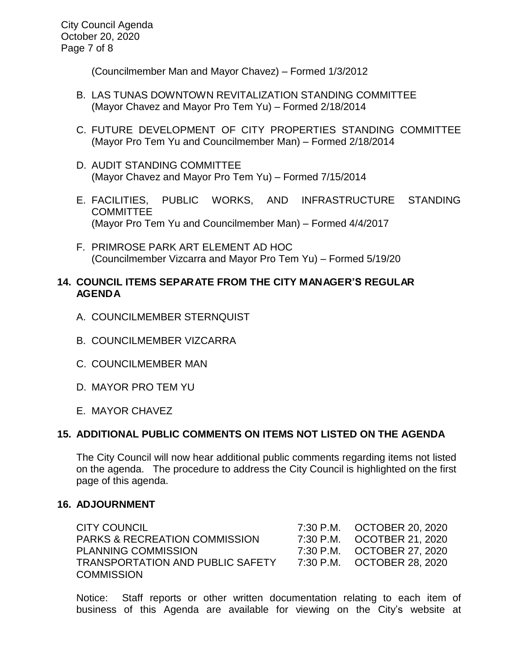(Councilmember Man and Mayor Chavez) – Formed 1/3/2012

- B. LAS TUNAS DOWNTOWN REVITALIZATION STANDING COMMITTEE (Mayor Chavez and Mayor Pro Tem Yu) – Formed 2/18/2014
- C. FUTURE DEVELOPMENT OF CITY PROPERTIES STANDING COMMITTEE (Mayor Pro Tem Yu and Councilmember Man) – Formed 2/18/2014
- D. AUDIT STANDING COMMITTEE (Mayor Chavez and Mayor Pro Tem Yu) – Formed 7/15/2014
- E. FACILITIES, PUBLIC WORKS, AND INFRASTRUCTURE STANDING COMMITTEE (Mayor Pro Tem Yu and Councilmember Man) – Formed 4/4/2017
- F. PRIMROSE PARK ART ELEMENT AD HOC (Councilmember Vizcarra and Mayor Pro Tem Yu) – Formed 5/19/20

## **14. COUNCIL ITEMS SEPARATE FROM THE CITY MANAGER'S REGULAR AGENDA**

- A. COUNCILMEMBER STERNQUIST
- B. COUNCILMEMBER VIZCARRA
- C. COUNCILMEMBER MAN
- D. MAYOR PRO TEM YU
- E. MAYOR CHAVEZ

## **15. ADDITIONAL PUBLIC COMMENTS ON ITEMS NOT LISTED ON THE AGENDA**

The City Council will now hear additional public comments regarding items not listed on the agenda. The procedure to address the City Council is highlighted on the first page of this agenda.

## **16. ADJOURNMENT**

CITY COUNCIL 7:30 P.M. OCTOBER 20, 2020 PARKS & RECREATION COMMISSION 7:30 P.M. OCOTBER 21, 2020 PLANNING COMMISSION 7:30 P.M. OCTOBER 27, 2020 TRANSPORTATION AND PUBLIC SAFETY 7:30 P.M. OCTOBER 28, 2020 **COMMISSION** 

Notice: Staff reports or other written documentation relating to each item of business of this Agenda are available for viewing on the City's website at